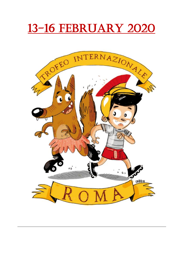# 13-16 FebRUARY 2020

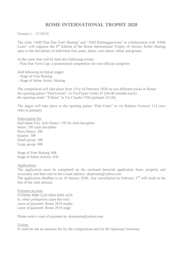# **ROME INTERNATIONAL TROPHY 2020**

Version 1 – 17/10/19

The clubs "ASD Pian Due Torri Skating" and "ASD Pattinaggioroma" in collaboration with "FISR Lazio" will organize the 8<sup>th</sup> Edition of the Rome International Trophy of Artistic Roller Skating open to the disciplines of individual free, pairs, dance, solo dance, inline and groups.

At the same time will be held also following events:

– Pian Due Torri Cup: a promotional competition for non-official categories

And following technical stages:

- Stage of Free Skating
- Stage of Inline Artstic Skating

The competition will take place from 13 to 16 February 2020 on two different tracks in Rome: the sporting palace "PalaTorrino", in Via Fiume Giallo 47 (20x40 wooden track) the sporting center "Tellene" in Via Claudio Villa (parquet 22x36).

The stages will take place to the sporting palace "Pala Fonte" in via Roberto Ferruzzi 112 (two rinks in parquet)

Subscription fee Individual Free, Solo Dance: 15€ for each discipline Inline: 25€ each discipline Pairs-Dance: 20€ Quartet: 30€ Small group: 50€ Large group: 80€

Stage of Free Skating: 80€ Stage of Inline Artistic: 65€

#### Applications

The application must be completed on the enclosed herewith application form, properly and accurately and then sent to the e-mail address: skateroma@yahoo.com The application deadline is on 19 January 2020. Any cancellation by February 2<sup>nd</sup> will result in the loss of the total amount.

Payment account IT29D02 0080 5226 0004 0049 4259 to: onlus polisportiva pian due torri cause of payment: Rome 2019 trophy cause of payment: Rome 2019 stage

Please send a copy of payment to: skateroma@yahoo.com

#### **Tickets**

It could be ask an entrance fee for the competitions and for the Opening Ceremony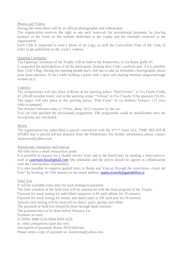#### Photos and Videos

During the event there will be an official photographer and videomaker.

The organization reserves the right to use such materials for promotional purposes, by placing pictures of the event on the website dedicated to the trophy and the channels reserved to the organization.

Each Club is requested to send a photo of its Logo, as well the Curriculum Vitae of the Club, in order to get published on the event's website.

#### Opening Ceremony

The Opening Ceremony of the Trophy will be held to the Palatorrino, in via fiume giallo 47.

Is requested the participation of all the participant, bearing their Club's uniform and, if it is possible their Club's flag. During the opening parade each club has to take an immobile choreographic photo pose (time duration 10 sec) while holding a panel with a sport and sharing emotion slogan/message written on it.

#### Logistics

The competitions will take place in Rome at the sporting palace "PalaTorrino", in Via Fiume Giallo 47 (20x40 wooden track), and at the sporting center "Tellene" in Via Claudio Villa (parquet 22x36). The stages will take place to the sporting palace "Pala Fonte" in via Roberto Ferruzzi 112 (two rinks in parquet).

The distance between rinks is 7/9 km, about 10/15 minutes by the car.

You can find attached the provisional programme. The programme could be modificated once the inscriptions are concluded.

#### Hotels

The organisation has subscribed a special convention with the 4\*\*\*\* hotel ALL TIME RELAIS & SPORT that is placed 0,8 km distance from the Palatorrino. For further information please contact skateroma@yahoo.com

#### Restaurants, transports and tourism

All rinks have a small restauration point

It is possible to request for a shuttle service from and to the hotel/rinks by sending a reservation email at [casertano.bus@gmail.com](mailto:casertano.bus@gmail.com) (the timetable and the prices should be agreed in collaboration with the casertanobus responsible).

It is also possible to organise guided tours in Rome and Vatican through the association «Gatti del Foro" by booking till 25th January to the email address: [marta.rivaroli@gattidelforo.it](mailto:marta.rivaroli@gattidelforo.it)

#### Field Test

It will be available extra time for track testing on payment.

The time schedule of the field tests will be announced with the final program of the Trophy.

Payment for track testing for individual categories is  $8 \epsilon$  each athlete for 30 minutes

Payment for track testing for artistic and dance pairs is  $10\epsilon$  each pair for 30 minutes

Special track testing will be reserved for dance, pairs, groups and inline.

The payment of field test should be done through bank transfert.

The payment have to be done before february 1st.

Payment account

IT29D02 0080 5226 0004 0049 4259

to: onlus polisportiva pian due torri

description of payment: Rome 2019 field test

Please send a copy of payment to: skateroma@yahoo.com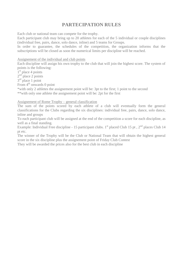# **PARTECIPATION RULES**

Each club or national team can compete for the trophy.

Each participant club may bring up to 20 athletes for each of the 5 individual or couple disciplines (individual free, pairs, dance, solo dance, inline) and 5 teams for Groups.

In order to guarantee, the schedules of the competition, the organization informs that the subscriptions will be closed as soon the numerical limits per discipline will be reached.

#### Assignement of the individual and club points

Each discipline will assign his own trophy to the club that will join the highest score. The system of points is the following:

1<sup>st</sup> place 4 points

 $2<sup>nd</sup>$  place 2 points

3<sup>rd</sup> place 1 point

From 4<sup>th</sup> onwards 0 point

\*with only 2 athletes the assignement point will be: 3pt to the first; 1 point to the second \*\*with only one athlete the assignement point will be: 2pt for the first

#### Assignement of Rome Trophy – general classification

The sum of the points scored by each athlete of a club will eventually form the general classifications for the Clubs regarding the six disciplines: individual free, pairs, dance, solo dance, inline and groups

To each participant club will be assigned at the end of the competition a score for each discipline, as well as a final standing.

Example: Individual Free discipline - 15 participant clubs. 1<sup>st</sup> placed Club 15 pt,  $2<sup>nd</sup>$  places Club 14 pt etc.

The winner of the Trophy will be the Club or National Team that will obtain the highest general score in the six discipline plus the assignement point of Friday Club Contest

They will be awarded the prices also for the best club in each discipline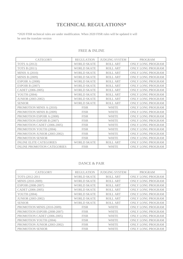# **TECHNICAL REGULATIONS\***

\*2020 FISR technical rules are under modification. When 2020 FISR rules will be updated it will be sent the translate version

#### FREE & INLINE

| <b>CATEGORY</b>                    | <b>REGULATION</b>  | <b>JUDGING SYSTEM</b> | <b>PROGRAM</b>           |
|------------------------------------|--------------------|-----------------------|--------------------------|
| <b>TOTS A (2012)</b>               | <b>WORLD SKATE</b> | <b>ROLL ART</b>       | ONLY LONG PROGRAM        |
| <b>TOTS B (2011)</b>               | <b>WORLD SKATE</b> | <b>ROLL ART</b>       | ONLY LONG PROGRAM        |
| <b>MINIS A (2010)</b>              | <b>WORLD SKATE</b> | <b>ROLL ART</b>       | ONLY LONG PROGRAM        |
| <b>MINIS B (2009)</b>              | <b>WORLD SKATE</b> | <b>ROLL ART</b>       | <b>ONLY LONG PROGRAM</b> |
| ESPOIR A (2008)                    | <b>WORLD SKATE</b> | <b>ROLL ART</b>       | <b>ONLY LONG PROGRAM</b> |
| <b>ESPOIR B (2007)</b>             | <b>WORLD SKATE</b> | <b>ROLL ART</b>       | ONLY LONG PROGRAM        |
| CADET (2006-2005)                  | <b>WORLD SKATE</b> | <b>ROLL ART</b>       | ONLY LONG PROGRAM        |
| YOUTH (2004)                       | <b>WORLD SKATE</b> | <b>ROLL ART</b>       | <b>ONLY LONG PROGRAM</b> |
| <b>JUNIOR</b> (2003-2002)          | <b>WORLD SKATE</b> | <b>ROLL ART</b>       | <b>ONLY LONG PROGRAM</b> |
| <b>SENIOR</b>                      | <b>WORLD SKATE</b> | <b>ROLL ART</b>       | <b>ONLY LONG PROGRAM</b> |
| PROMOTION MINIS A (2010)           | <b>FISR</b>        | <b>WHITE</b>          | ONLY LONG PROGRAM        |
| PROMOTION MINIS B (2009)           | <b>FISR</b>        | <b>WHITE</b>          | ONLY LONG PROGRAM        |
| PROMOTION ESPOIR A (2008)          | <b>FISR</b>        | <b>WHITE</b>          | ONLY LONG PROGRAM        |
| PROMOTION ESPOIR B (2007)          | <b>FISR</b>        | <b>WHITE</b>          | <b>ONLY LONG PROGRAM</b> |
| PROMOTION CADET (2006-2005)        | <b>FISR</b>        | <b>WHITE</b>          | <b>ONLY LONG PROGRAM</b> |
| PROMOTION YOUTH (2004)             | <b>FISR</b>        | <b>WHITE</b>          | ONLY LONG PROGRAM        |
| PROMOTION JUNIOR (2003-2002)       | <b>FISR</b>        | <b>WHITE</b>          | ONLY LONG PROGRAM        |
| PROMOTION SENIOR                   | <b>FISR</b>        | <b>WHITE</b>          | ONLY LONG PROGRAM        |
| <b>INLINE ELITE CATEGORIES</b>     | <b>WORLD SKATE</b> | <b>ROLL ART</b>       | ONLY LONG PROGRAM        |
| <b>INLINE PROMOTION CATEGORIES</b> | <b>FISR</b>        | <b>WHITE</b>          | <b>ONLY LONG PROGRAM</b> |

#### DANCE & PAIR

| <b>CATEGORY</b>              | <b>REGULATION</b>  | <b>JUDGING SYSTEM</b> | <b>PROGRAM</b>           |
|------------------------------|--------------------|-----------------------|--------------------------|
| TOTS (2012-2011)             | <b>WORLD SKATE</b> | <b>ROLL ART</b>       | ONLY LONG PROGRAM        |
| MINIS (2010-2009)            | <b>WORLD SKATE</b> | ROLL ART              | <b>ONLY LONG PROGRAM</b> |
| ESPOIR (2008-2007)           | <b>WORLD SKATE</b> | <b>ROLL ART</b>       | ONLY LONG PROGRAM        |
| CADET (2006-2005)            | <b>WORLD SKATE</b> | ROLL ART              | <b>ONLY LONG PROGRAM</b> |
| <b>YOUTH (2004)</b>          | <b>WORLD SKATE</b> | <b>ROLL ART</b>       | <b>ONLY LONG PROGRAM</b> |
| <b>JUNIOR</b> (2003-2002)    | <b>WORLD SKATE</b> | ROLL ART              | ONLY LONG PROGRAM        |
| <b>SENIOR</b>                | <b>WORLD SKATE</b> | ROLL ART              | <b>ONLY LONG PROGRAM</b> |
| PROMOTION MINIS (2010-2009)  | <b>FISR</b>        | <b>WHITE</b>          | <b>ONLY LONG PROGRAM</b> |
| PROMOTION ESPOIR (2008-2007) | <b>FISR</b>        | <b>WHITE</b>          | ONLY LONG PROGRAM        |
| PROMOTION CADET (2006-2005)  | <b>FISR</b>        | <b>WHITE</b>          | <b>ONLY LONG PROGRAM</b> |
| PROMOTION YOUTH (2004)       | <b>FISR</b>        | <b>WHITE</b>          | <b>ONLY LONG PROGRAM</b> |
| PROMOTION JUNIOR (2003-2002) | <b>FISR</b>        | <b>WHITE</b>          | ONLY LONG PROGRAM        |
| PROMOTION SENIOR             | <b>FISR</b>        | <b>WHITE</b>          | <b>ONLY LONG PROGRAM</b> |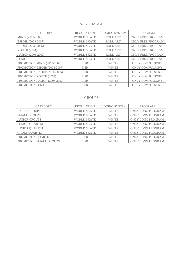#### SOLO DANCE

| <b>CATEGORY</b>              | <b>REGULATION</b>  | <b>JUDGING SYSTEM</b> | <b>PROGRAM</b>           |
|------------------------------|--------------------|-----------------------|--------------------------|
| MINIS (2010-2009)            | <b>WORLD SKATE</b> | ROLL ART              | <b>ONLY FREE PROGRAM</b> |
| ESPOIR (2008-2007)           | <b>WORLD SKATE</b> | ROLL ART              | <b>ONLY FREE PROGRAM</b> |
| CADET (2006-2005)            | <b>WORLD SKATE</b> | ROLL ART              | <b>ONLY FREE PROGRAM</b> |
| YOUTH (2004)                 | <b>WORLD SKATE</b> | <b>ROLL ART</b>       | <b>ONLY FREE PROGRAM</b> |
| <b>JUNIOR</b> (2003-2002)    | <b>WORLD SKATE</b> | ROLL ART              | <b>ONLY FREE PROGRAM</b> |
| <b>SENIOR</b>                | <b>WORLD SKATE</b> | <b>ROLL ART</b>       | <b>ONLY FREE PROGRAM</b> |
| PROMOTION MINIS (2010-2009)  | <b>FISR</b>        | <b>WHITE</b>          | <b>ONLY COMPULSORY</b>   |
| PROMOTION ESPOIR (2008-2007) | <b>FISR</b>        | <b>WHITE</b>          | <b>ONLY COMPULSORY</b>   |
| PROMOTION CADET (2006-2005)  | <b>FISR</b>        | <b>WHITE</b>          | <b>ONLY COMPULSORY</b>   |
| PROMOTION YOUTH (2004)       | <b>FISR</b>        | <b>WHITE</b>          | <b>ONLY COMPULSORY</b>   |
| PROMOTION JUNIOR (2003-2002) | <b>FISR</b>        | <b>WHITE</b>          | <b>ONLY COMPULSORY</b>   |
| PROMOTION SENIOR             | <b>FISR</b>        | <b>WHITE</b>          | ONLY COMPULSORY          |

#### GROUPS

| <b>CATEGORY</b>        | <b>REGULATION</b>  | <b>JUDGING SYSTEM</b> | <b>PROGRAM</b>           |
|------------------------|--------------------|-----------------------|--------------------------|
| <b>LARGE GROUPS</b>    | <b>WORLD SKATE</b> | <b>WHITE</b>          | ONLY LONG PROGRAM        |
| <b>SMALL GROUPS</b>    | <b>WORLD SKATE</b> | <b>WHITE</b>          | <b>ONLY LONG PROGRAM</b> |
| <b>JUNIOR GROUPS</b>   | <b>WORLD SKATE</b> | <b>WHITE</b>          | <b>ONLY LONG PROGRAM</b> |
| <b>SENIOR QUARTET</b>  | <b>WORLD SKATE</b> | <b>WHITE</b>          | <b>ONLY LONG PROGRAM</b> |
| <b>JUNIOR QUARTET</b>  | <b>WORLD SKATE</b> | <b>WHITE</b>          | <b>ONLY LONG PROGRAM</b> |
| <b>CADET QUARTET</b>   | <b>WORLD SKATE</b> | <b>WHITE</b>          | <b>ONLY LONG PROGRAM</b> |
| PROMOTION QUARTET      | <b>FISR</b>        | <b>WHITE</b>          | ONLY LONG PROGRAM        |
| PROMOTION SMALL GROUPS | <b>FISR</b>        | <b>WHITE</b>          | <b>ONLY LONG PROGRAM</b> |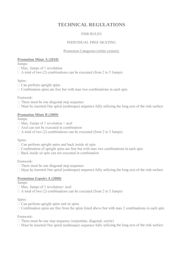# **TECHNICAL REGULATIONS**

# FISR RULES

#### INDIVIDUAL FREE SKATING

#### Promotion Categories (white system):

#### **Promotion Minis A (2010)**

Jumps:

 $\Box$  Max. Jumps of 1 revolution

 $\Box$  A total of two (2) combinations can be executed (from 2 to 5 Jumps)

# Spins:

 $\Box$  Can perform upright spins

 $\Box$  Combination spins are free but with max two combinations in each spin

#### Footwork:

 $\Box$  There must be one diagonal step sequence

 $\Box$  Must be inserted One spiral (arabesque) sequence fully utilizing the long axis of the rink surface

# **Promotion Minis B (2009)**

Jumps:

- $\Box$  Max. Jumps of 1 revolution + axel
- $\Box$  Axel can not be executed in combination
- $\Box$  A total of two (2) combinations can be executed (from 2 to 5 Jumps)

# Spins:

- $\Box$  Can perform upright spins and back inside sit spin
- $\Box$  Combination of upright spins are free but with max two combinations in each spin
- $\Box$  Back inside sit spin can not executed in combination

# Footwork:

- $\Box$  There must be one diagonal step sequence
- $\Box$  Must be inserted One spiral (arabesque) sequence fully utilizing the long axis of the rink surface

# **Promotion Espoirs A (2008)**

# Jumps:

 $\Box$  Max. Jumps of 1 revolution+ axel

 $\Box$  A total of two (2) combinations can be executed (from 2 to 5 Jumps)

# Spins:

- $\Box$  Can perform upright spins and sit spins
- $\Box$  Combination spins are free from the spins listed above but with max 2 combinations in each spin

# Footwork:

- $\Box$  There must be one step sequence (serpentine, diagonal, cercle)
- $\Box$  Must be inserted One spiral (arabesque) sequence fully utilizing the long axis of the rink surface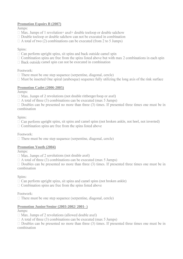# **Promotion Espoirs B (2007)**

Jumps:

- $\Box$  Max. Jumps of 1 revolution + axel + double to loop or double salchow
- $\Box$  Double to loop or double salchow can not be executed in combination
- $\Box$  A total of two (2) combinations can be executed (from 2 to 5 Jumps)

#### Spins:

- $\Box$  Can perform upright spins, sit spins and back outside camel spin
- $\Box$  Combination spins are free from the spins listed above but with max 2 combinations in each spin
- $\Box$  Back outside camel spin can not be executed in combination

#### Footwork:

- $\Box$  There must be one step sequence (serpentine, diagonal, cercle)
- $\Box$  Must be inserted One spiral (arabesque) sequence fully utilizing the long axis of the rink surface

#### **Promotion Cadet (2006-2005)**

Jumps:

- $\Box$  Max. Jumps of 2 revolutions (not double rittberger/loop or axel)
- $\Box$  A total of three (3) combinations can be executed (max 5 Jumps)

 $\Box$  Doubles can be presented no more than three (3) times. If presented three times one must be in combination

Spins:

 $\Box$  Can perform upright spins, sit spins and camel spins (not broken ankle, not heel, not inverted)

 $\Box$  Combination spins are free from the spins listed above

Footwork:

 $\Box$  There must be one step sequence (serpentine, diagonal, cercle)

# **Promotion Youth (2004)**

Jumps:

 $\Box$  Max. Jumps of 2 revolutions (not double axel)

 $\Box$  A total of three (3) combinations can be executed (max 5 Jumps)

 $\Box$  Doubles can be presented no more than three (3) times. If presented three times one must be in combination

Spins:

 $\Box$  Can perform upright spins, sit spins and camel spins (not broken ankle)

 $\Box$  Combination spins are free from the spins listed above

# Footwork:

 $\Box$  There must be one step sequence (serpentine, diagonal, cercle)

# **Promotion Junior/Senior (2003-2002/ 2001- )**

Jumps:

 $\Box$  Max. Jumps of 2 revolutions (allowed double axel)

 $\Box$  A total of three (3) combinations can be executed (max 5 Jumps)

 $\Box$  Doubles can be presented no more than three (3) times. If presented three times one must be in combination